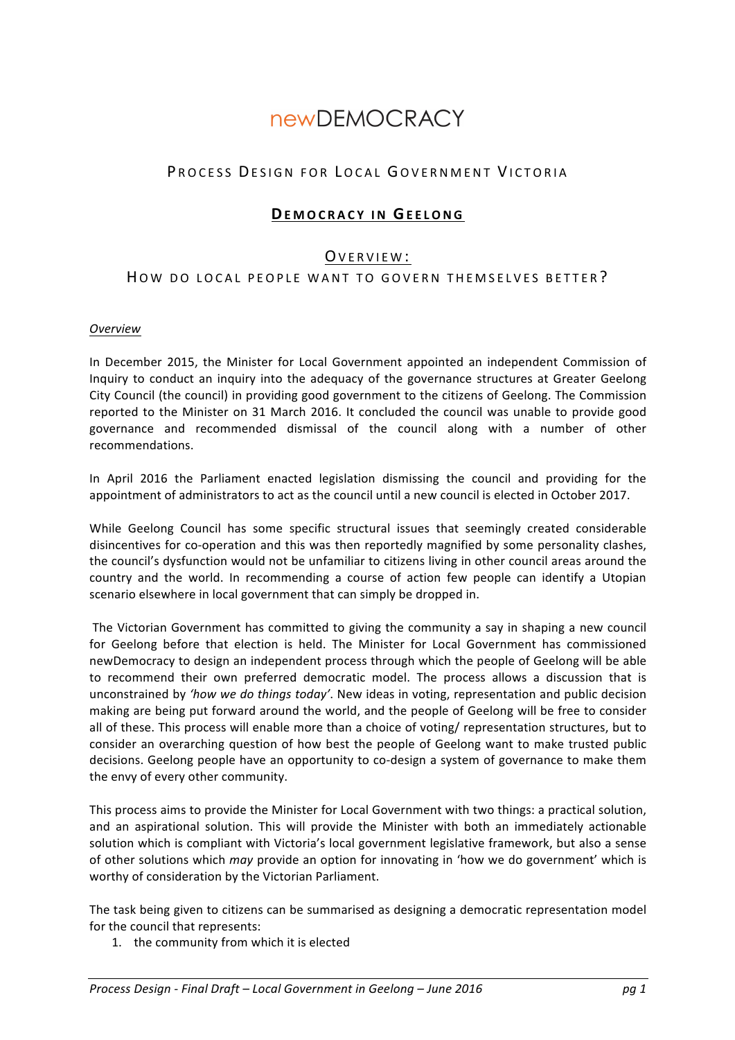# **newDFMOCRACY**

# PROCESS DESIGN FOR LOCAL GOVERNMENT VICTORIA

# **DEMOCRACY IN GEELONG**

# OVERVIEW:

# HOW DO LOCAL PEOPLE WANT TO GOVERN THEMSELVES BETTER?

### *Overview*

In December 2015, the Minister for Local Government appointed an independent Commission of Inquiry to conduct an inquiry into the adequacy of the governance structures at Greater Geelong City Council (the council) in providing good government to the citizens of Geelong. The Commission reported to the Minister on 31 March 2016. It concluded the council was unable to provide good governance and recommended dismissal of the council along with a number of other recommendations.

In April 2016 the Parliament enacted legislation dismissing the council and providing for the appointment of administrators to act as the council until a new council is elected in October 2017.

While Geelong Council has some specific structural issues that seemingly created considerable disincentives for co-operation and this was then reportedly magnified by some personality clashes, the council's dysfunction would not be unfamiliar to citizens living in other council areas around the country and the world. In recommending a course of action few people can identify a Utopian scenario elsewhere in local government that can simply be dropped in.

The Victorian Government has committed to giving the community a say in shaping a new council for Geelong before that election is held. The Minister for Local Government has commissioned newDemocracy to design an independent process through which the people of Geelong will be able to recommend their own preferred democratic model. The process allows a discussion that is unconstrained by 'how we do things today'. New ideas in voting, representation and public decision making are being put forward around the world, and the people of Geelong will be free to consider all of these. This process will enable more than a choice of voting/ representation structures, but to consider an overarching question of how best the people of Geelong want to make trusted public decisions. Geelong people have an opportunity to co-design a system of governance to make them the envy of every other community.

This process aims to provide the Minister for Local Government with two things: a practical solution, and an aspirational solution. This will provide the Minister with both an immediately actionable solution which is compliant with Victoria's local government legislative framework, but also a sense of other solutions which *may* provide an option for innovating in 'how we do government' which is worthy of consideration by the Victorian Parliament.

The task being given to citizens can be summarised as designing a democratic representation model for the council that represents:

1. the community from which it is elected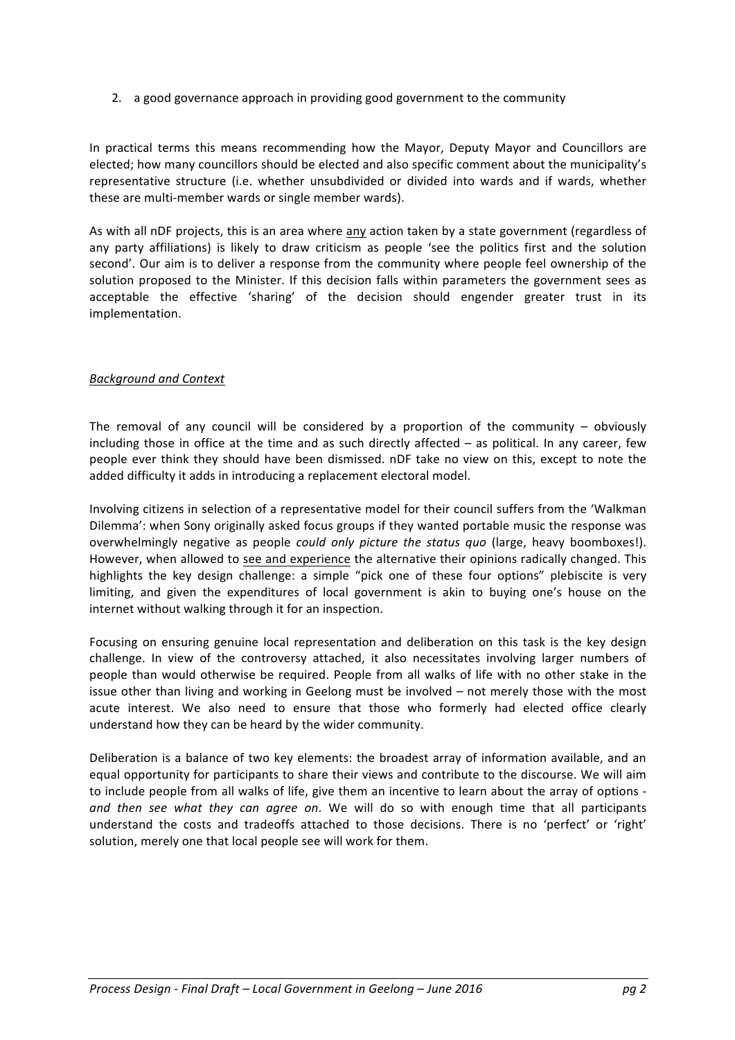2. a good governance approach in providing good government to the community

In practical terms this means recommending how the Mayor, Deputy Mayor and Councillors are elected; how many councillors should be elected and also specific comment about the municipality's representative structure (i.e. whether unsubdivided or divided into wards and if wards, whether these are multi-member wards or single member wards).

As with all nDF projects, this is an area where any action taken by a state government (regardless of any party affiliations) is likely to draw criticism as people 'see the politics first and the solution second'. Our aim is to deliver a response from the community where people feel ownership of the solution proposed to the Minister. If this decision falls within parameters the government sees as acceptable the effective 'sharing' of the decision should engender greater trust in its implementation.

### *Background and Context*

The removal of any council will be considered by a proportion of the community  $-$  obviously including those in office at the time and as such directly affected – as political. In any career, few people ever think they should have been dismissed. nDF take no view on this, except to note the added difficulty it adds in introducing a replacement electoral model.

Involving citizens in selection of a representative model for their council suffers from the 'Walkman Dilemma': when Sony originally asked focus groups if they wanted portable music the response was overwhelmingly negative as people *could only picture the status quo* (large, heavy boomboxes!). However, when allowed to see and experience the alternative their opinions radically changed. This highlights the key design challenge: a simple "pick one of these four options" plebiscite is very limiting, and given the expenditures of local government is akin to buying one's house on the internet without walking through it for an inspection.

Focusing on ensuring genuine local representation and deliberation on this task is the key design challenge. In view of the controversy attached, it also necessitates involving larger numbers of people than would otherwise be required. People from all walks of life with no other stake in the issue other than living and working in Geelong must be involved – not merely those with the most acute interest. We also need to ensure that those who formerly had elected office clearly understand how they can be heard by the wider community.

Deliberation is a balance of two key elements: the broadest array of information available, and an equal opportunity for participants to share their views and contribute to the discourse. We will aim to include people from all walks of life, give them an incentive to learn about the array of options and then see what they can agree on. We will do so with enough time that all participants understand the costs and tradeoffs attached to those decisions. There is no 'perfect' or 'right' solution, merely one that local people see will work for them.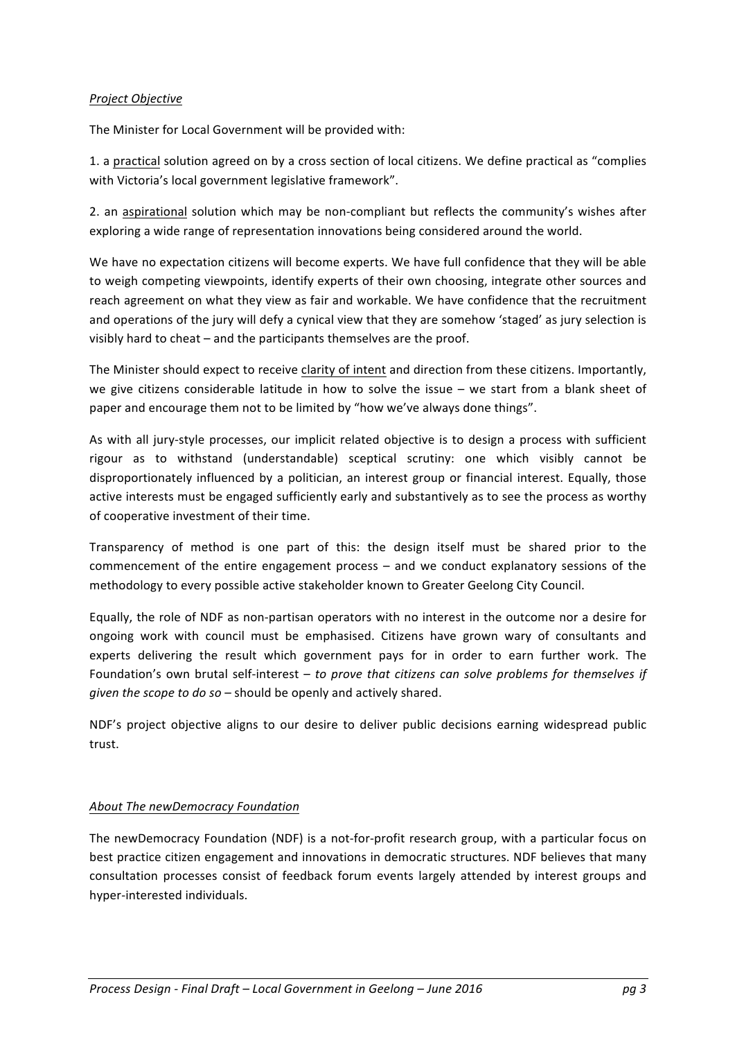# *Project Objective*

The Minister for Local Government will be provided with:

1. a practical solution agreed on by a cross section of local citizens. We define practical as "complies with Victoria's local government legislative framework".

2. an aspirational solution which may be non-compliant but reflects the community's wishes after exploring a wide range of representation innovations being considered around the world.

We have no expectation citizens will become experts. We have full confidence that they will be able to weigh competing viewpoints, identify experts of their own choosing, integrate other sources and reach agreement on what they view as fair and workable. We have confidence that the recruitment and operations of the jury will defy a cynical view that they are somehow 'staged' as jury selection is visibly hard to cheat – and the participants themselves are the proof.

The Minister should expect to receive clarity of intent and direction from these citizens. Importantly, we give citizens considerable latitude in how to solve the issue  $-$  we start from a blank sheet of paper and encourage them not to be limited by "how we've always done things".

As with all jury-style processes, our implicit related objective is to design a process with sufficient rigour as to withstand (understandable) sceptical scrutiny: one which visibly cannot be disproportionately influenced by a politician, an interest group or financial interest. Equally, those active interests must be engaged sufficiently early and substantively as to see the process as worthy of cooperative investment of their time.

Transparency of method is one part of this: the design itself must be shared prior to the commencement of the entire engagement process – and we conduct explanatory sessions of the methodology to every possible active stakeholder known to Greater Geelong City Council.

Equally, the role of NDF as non-partisan operators with no interest in the outcome nor a desire for ongoing work with council must be emphasised. Citizens have grown wary of consultants and experts delivering the result which government pays for in order to earn further work. The Foundation's own brutal self-interest – *to prove that citizens can solve problems for themselves if given the scope to do so* – should be openly and actively shared.

NDF's project objective aligns to our desire to deliver public decisions earning widespread public trust. 

#### *About The newDemocracy Foundation*

The newDemocracy Foundation (NDF) is a not-for-profit research group, with a particular focus on best practice citizen engagement and innovations in democratic structures. NDF believes that many consultation processes consist of feedback forum events largely attended by interest groups and hyper-interested individuals.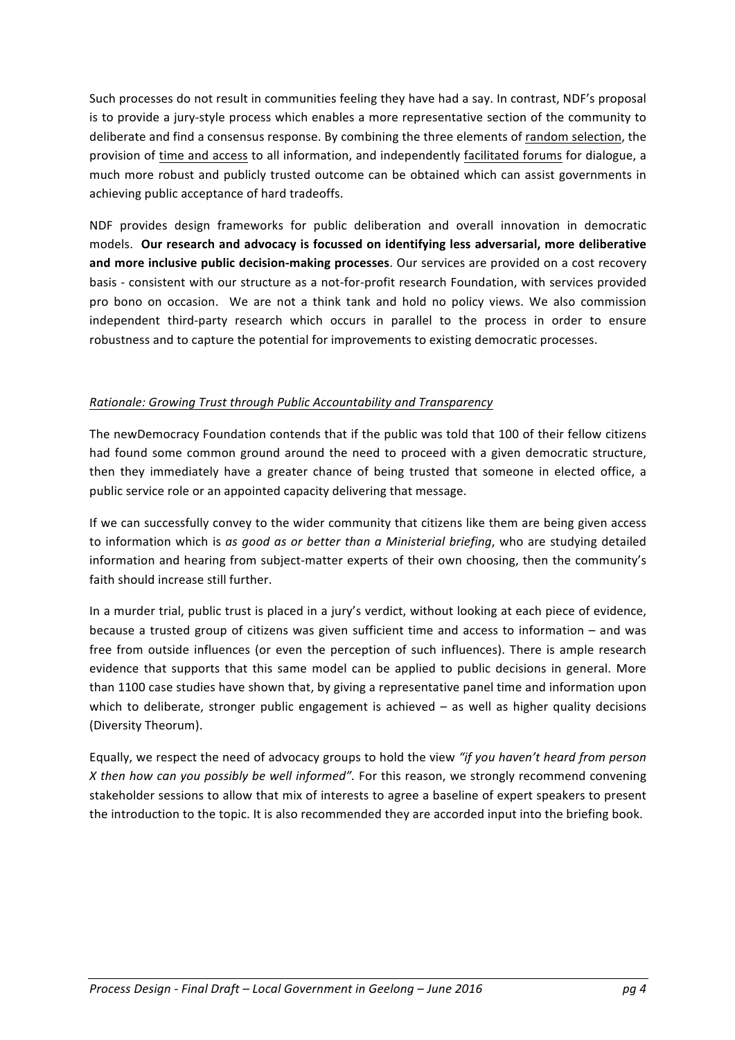Such processes do not result in communities feeling they have had a say. In contrast, NDF's proposal is to provide a jury-style process which enables a more representative section of the community to deliberate and find a consensus response. By combining the three elements of random selection, the provision of time and access to all information, and independently facilitated forums for dialogue, a much more robust and publicly trusted outcome can be obtained which can assist governments in achieving public acceptance of hard tradeoffs.

NDF provides design frameworks for public deliberation and overall innovation in democratic models. Our research and advocacy is focussed on identifying less adversarial, more deliberative and more inclusive public decision-making processes. Our services are provided on a cost recovery basis - consistent with our structure as a not-for-profit research Foundation, with services provided pro bono on occasion. We are not a think tank and hold no policy views. We also commission independent third-party research which occurs in parallel to the process in order to ensure robustness and to capture the potential for improvements to existing democratic processes.

# *Rationale: Growing Trust through Public Accountability and Transparency*

The newDemocracy Foundation contends that if the public was told that 100 of their fellow citizens had found some common ground around the need to proceed with a given democratic structure, then they immediately have a greater chance of being trusted that someone in elected office, a public service role or an appointed capacity delivering that message.

If we can successfully convey to the wider community that citizens like them are being given access to information which is as good as or better than a Ministerial briefing, who are studying detailed information and hearing from subject-matter experts of their own choosing, then the community's faith should increase still further.

In a murder trial, public trust is placed in a jury's verdict, without looking at each piece of evidence, because a trusted group of citizens was given sufficient time and access to information  $-$  and was free from outside influences (or even the perception of such influences). There is ample research evidence that supports that this same model can be applied to public decisions in general. More than 1100 case studies have shown that, by giving a representative panel time and information upon which to deliberate, stronger public engagement is achieved  $-$  as well as higher quality decisions (Diversity Theorum). 

Equally, we respect the need of advocacy groups to hold the view "if you haven't heard from person *X* then how can you possibly be well informed". For this reason, we strongly recommend convening stakeholder sessions to allow that mix of interests to agree a baseline of expert speakers to present the introduction to the topic. It is also recommended they are accorded input into the briefing book.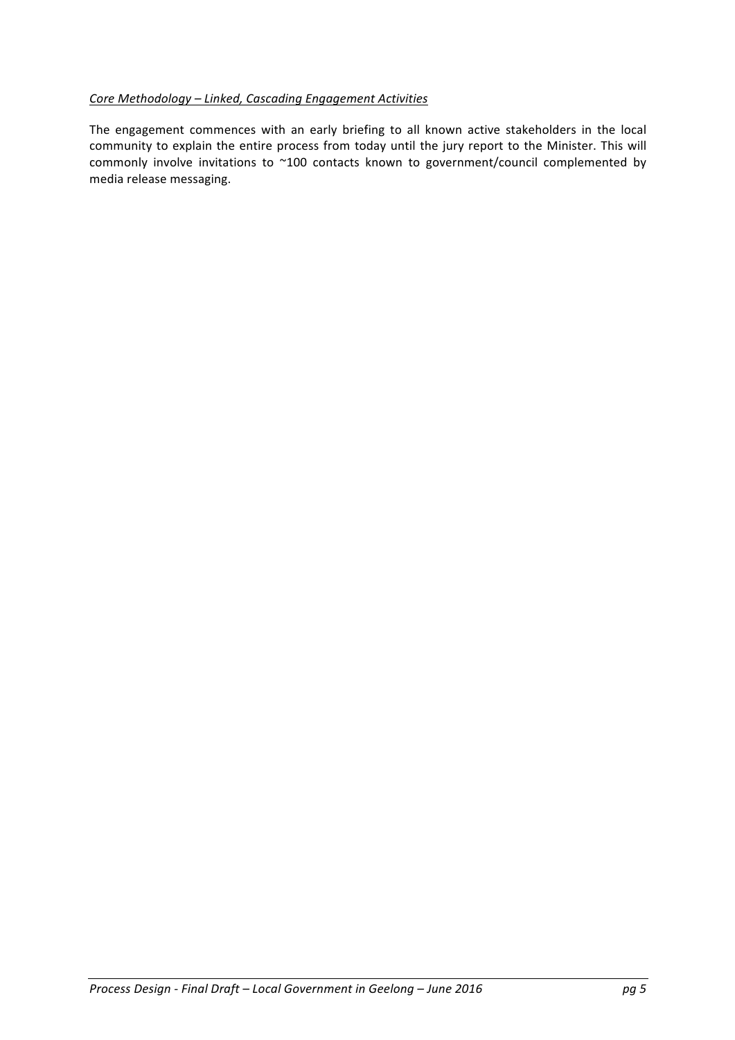# *Core Methodology – Linked, Cascading Engagement Activities*

The engagement commences with an early briefing to all known active stakeholders in the local community to explain the entire process from today until the jury report to the Minister. This will commonly involve invitations to ~100 contacts known to government/council complemented by media release messaging.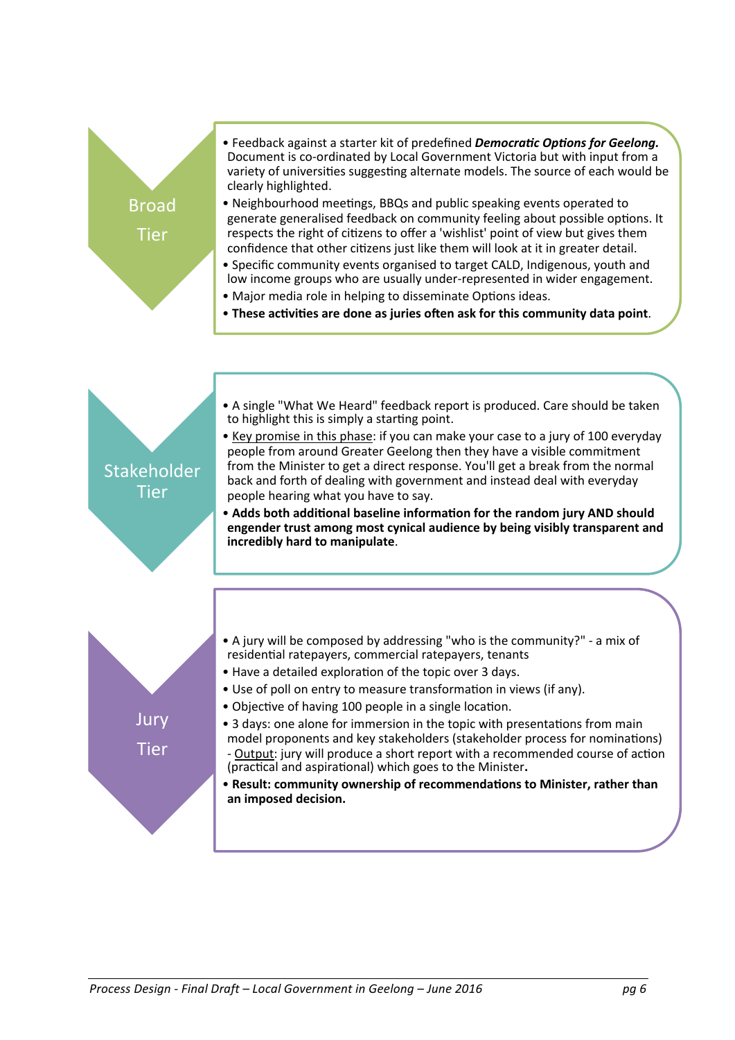

- Neighbourhood meetings, BBQs and public speaking events operated to generate generalised feedback on community feeling about possible options. It respects the right of citizens to offer a 'wishlist' point of view but gives them confidence that other citizens just like them will look at it in greater detail.
- Specific community events organised to target CALD, Indigenous, youth and low income groups who are usually under-represented in wider engagement.
- Major media role in helping to disseminate Options ideas.
- These activities are done as juries often ask for this community data point.
- A single "What We Heard" feedback report is produced. Care should be taken to highlight this is simply a starting point.

# Stakeholder Tier

Jury 

Tier 

Broad 

**Tier** 

- Key promise in this phase: if you can make your case to a jury of 100 everyday people from around Greater Geelong then they have a visible commitment from the Minister to get a direct response. You'll get a break from the normal back and forth of dealing with government and instead deal with everyday people hearing what you have to say.
- Adds both additional baseline information for the random jury AND should engender trust among most cynical audience by being visibly transparent and **incredibly hard to manipulate**.
- A jury will be composed by addressing "who is the community?" a mix of residential ratepayers, commercial ratepayers, tenants
- Have a detailed exploration of the topic over 3 days.
- Use of poll on entry to measure transformation in views (if any).
- Objective of having 100 people in a single location.
- 3 days: one alone for immersion in the topic with presentations from main model proponents and key stakeholders (stakeholder process for nominations) - Output: jury will produce a short report with a recommended course of action (practical and aspirational) which goes to the Minister.
- Result: community ownership of recommendations to Minister, rather than **an imposed decision.**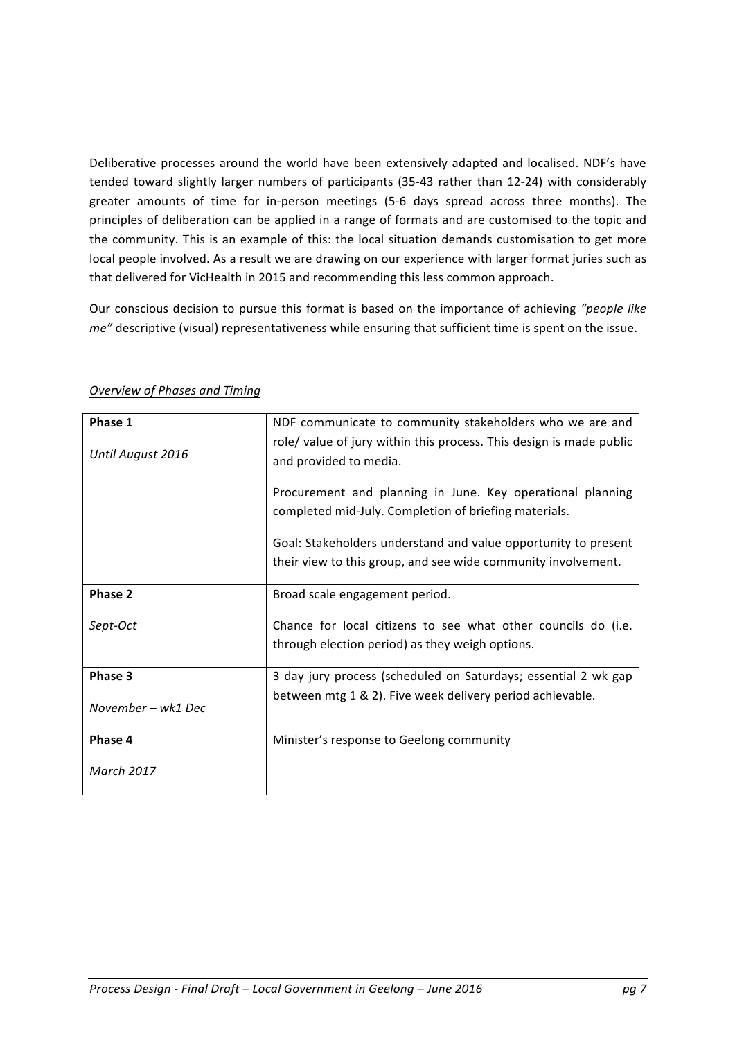Deliberative processes around the world have been extensively adapted and localised. NDF's have tended toward slightly larger numbers of participants (35-43 rather than 12-24) with considerably greater amounts of time for in-person meetings (5-6 days spread across three months). The principles of deliberation can be applied in a range of formats and are customised to the topic and the community. This is an example of this: the local situation demands customisation to get more local people involved. As a result we are drawing on our experience with larger format juries such as that delivered for VicHealth in 2015 and recommending this less common approach.

Our conscious decision to pursue this format is based on the importance of achieving "people like *me"* descriptive (visual) representativeness while ensuring that sufficient time is spent on the issue.

| Phase 1            | NDF communicate to community stakeholders who we are and            |
|--------------------|---------------------------------------------------------------------|
|                    | role/ value of jury within this process. This design is made public |
| Until August 2016  | and provided to media.                                              |
|                    |                                                                     |
|                    | Procurement and planning in June. Key operational planning          |
|                    | completed mid-July. Completion of briefing materials.               |
|                    | Goal: Stakeholders understand and value opportunity to present      |
|                    | their view to this group, and see wide community involvement.       |
|                    |                                                                     |
| Phase 2            | Broad scale engagement period.                                      |
|                    |                                                                     |
| Sept-Oct           | Chance for local citizens to see what other councils do (i.e.       |
|                    | through election period) as they weigh options.                     |
| Phase 3            | 3 day jury process (scheduled on Saturdays; essential 2 wk gap      |
|                    |                                                                     |
| November – wk1 Dec | between mtg 1 & 2). Five week delivery period achievable.           |
|                    |                                                                     |
| Phase 4            | Minister's response to Geelong community                            |
| March 2017         |                                                                     |
|                    |                                                                     |
|                    |                                                                     |

# *Overview of Phases and Timing*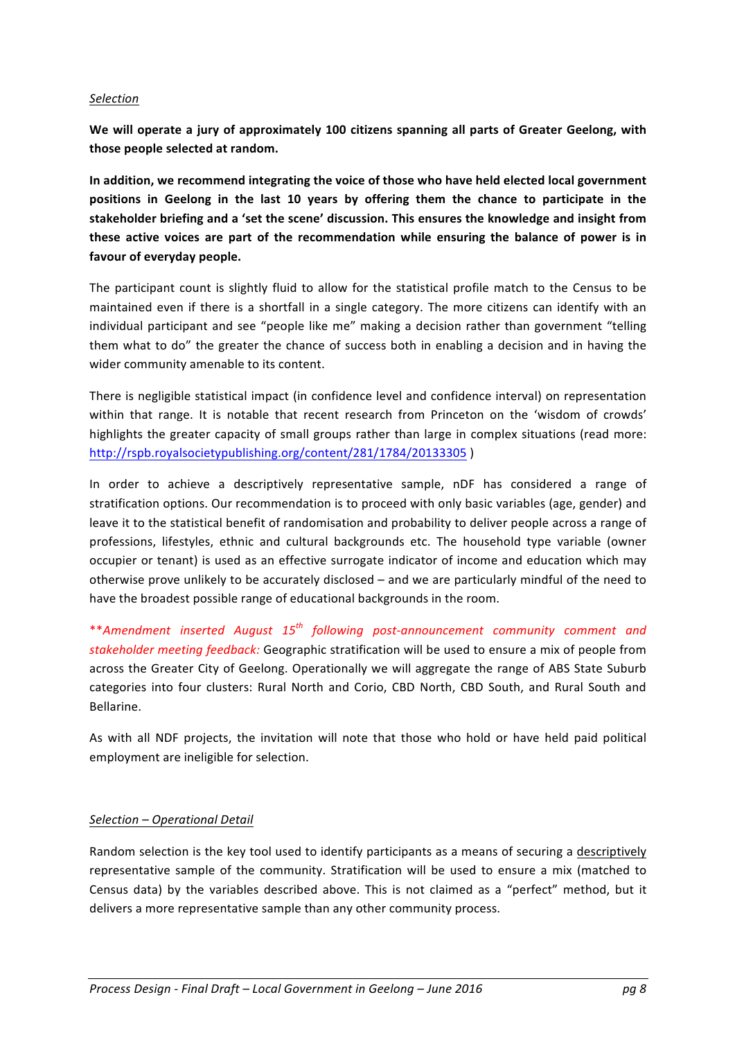#### *Selection*

We will operate a jury of approximately 100 citizens spanning all parts of Greater Geelong, with **those people selected at random.**

In addition, we recommend integrating the voice of those who have held elected local government positions in Geelong in the last 10 years by offering them the chance to participate in the stakeholder briefing and a 'set the scene' discussion. This ensures the knowledge and insight from **these active voices are part of the recommendation while ensuring the balance of power is in** favour of everyday people.

The participant count is slightly fluid to allow for the statistical profile match to the Census to be maintained even if there is a shortfall in a single category. The more citizens can identify with an individual participant and see "people like me" making a decision rather than government "telling them what to do" the greater the chance of success both in enabling a decision and in having the wider community amenable to its content.

There is negligible statistical impact (in confidence level and confidence interval) on representation within that range. It is notable that recent research from Princeton on the 'wisdom of crowds' highlights the greater capacity of small groups rather than large in complex situations (read more: http://rspb.royalsocietypublishing.org/content/281/1784/20133305 )

In order to achieve a descriptively representative sample, nDF has considered a range of stratification options. Our recommendation is to proceed with only basic variables (age, gender) and leave it to the statistical benefit of randomisation and probability to deliver people across a range of professions, lifestyles, ethnic and cultural backgrounds etc. The household type variable (owner occupier or tenant) is used as an effective surrogate indicator of income and education which may otherwise prove unlikely to be accurately disclosed – and we are particularly mindful of the need to have the broadest possible range of educational backgrounds in the room.

\*\**Amendment inserted August 15th following post-announcement community comment and* stakeholder meeting *feedback:* Geographic stratification will be used to ensure a mix of people from across the Greater City of Geelong. Operationally we will aggregate the range of ABS State Suburb categories into four clusters: Rural North and Corio, CBD North, CBD South, and Rural South and Bellarine.

As with all NDF projects, the invitation will note that those who hold or have held paid political employment are ineligible for selection.

# *Selection – Operational Detail*

Random selection is the key tool used to identify participants as a means of securing a descriptively representative sample of the community. Stratification will be used to ensure a mix (matched to Census data) by the variables described above. This is not claimed as a "perfect" method, but it delivers a more representative sample than any other community process.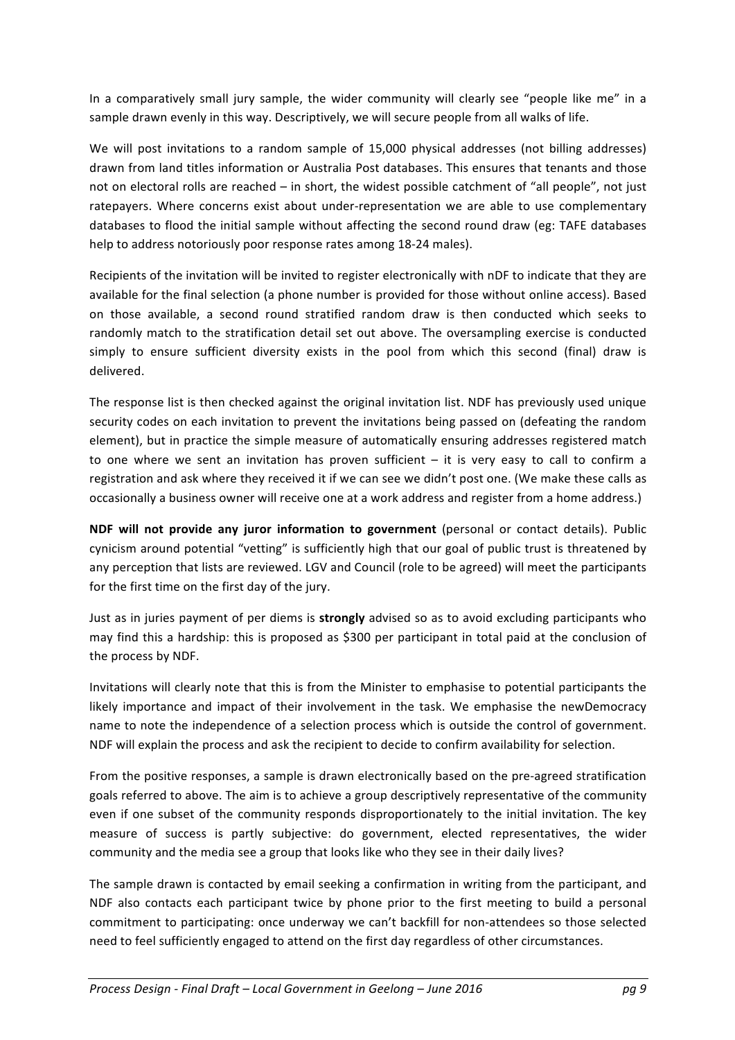In a comparatively small jury sample, the wider community will clearly see "people like me" in a sample drawn evenly in this way. Descriptively, we will secure people from all walks of life.

We will post invitations to a random sample of 15,000 physical addresses (not billing addresses) drawn from land titles information or Australia Post databases. This ensures that tenants and those not on electoral rolls are reached – in short, the widest possible catchment of "all people", not just ratepayers. Where concerns exist about under-representation we are able to use complementary databases to flood the initial sample without affecting the second round draw (eg: TAFE databases help to address notoriously poor response rates among 18-24 males).

Recipients of the invitation will be invited to register electronically with nDF to indicate that they are available for the final selection (a phone number is provided for those without online access). Based on those available, a second round stratified random draw is then conducted which seeks to randomly match to the stratification detail set out above. The oversampling exercise is conducted simply to ensure sufficient diversity exists in the pool from which this second (final) draw is delivered.

The response list is then checked against the original invitation list. NDF has previously used unique security codes on each invitation to prevent the invitations being passed on (defeating the random element), but in practice the simple measure of automatically ensuring addresses registered match to one where we sent an invitation has proven sufficient  $-$  it is very easy to call to confirm a registration and ask where they received it if we can see we didn't post one. (We make these calls as occasionally a business owner will receive one at a work address and register from a home address.)

**NDF** will not provide any juror information to government (personal or contact details). Public cynicism around potential "vetting" is sufficiently high that our goal of public trust is threatened by any perception that lists are reviewed. LGV and Council (role to be agreed) will meet the participants for the first time on the first day of the jury.

Just as in juries payment of per diems is strongly advised so as to avoid excluding participants who may find this a hardship: this is proposed as \$300 per participant in total paid at the conclusion of the process by NDF.

Invitations will clearly note that this is from the Minister to emphasise to potential participants the likely importance and impact of their involvement in the task. We emphasise the newDemocracy name to note the independence of a selection process which is outside the control of government. NDF will explain the process and ask the recipient to decide to confirm availability for selection.

From the positive responses, a sample is drawn electronically based on the pre-agreed stratification goals referred to above. The aim is to achieve a group descriptively representative of the community even if one subset of the community responds disproportionately to the initial invitation. The key measure of success is partly subjective: do government, elected representatives, the wider community and the media see a group that looks like who they see in their daily lives?

The sample drawn is contacted by email seeking a confirmation in writing from the participant, and NDF also contacts each participant twice by phone prior to the first meeting to build a personal commitment to participating: once underway we can't backfill for non-attendees so those selected need to feel sufficiently engaged to attend on the first day regardless of other circumstances.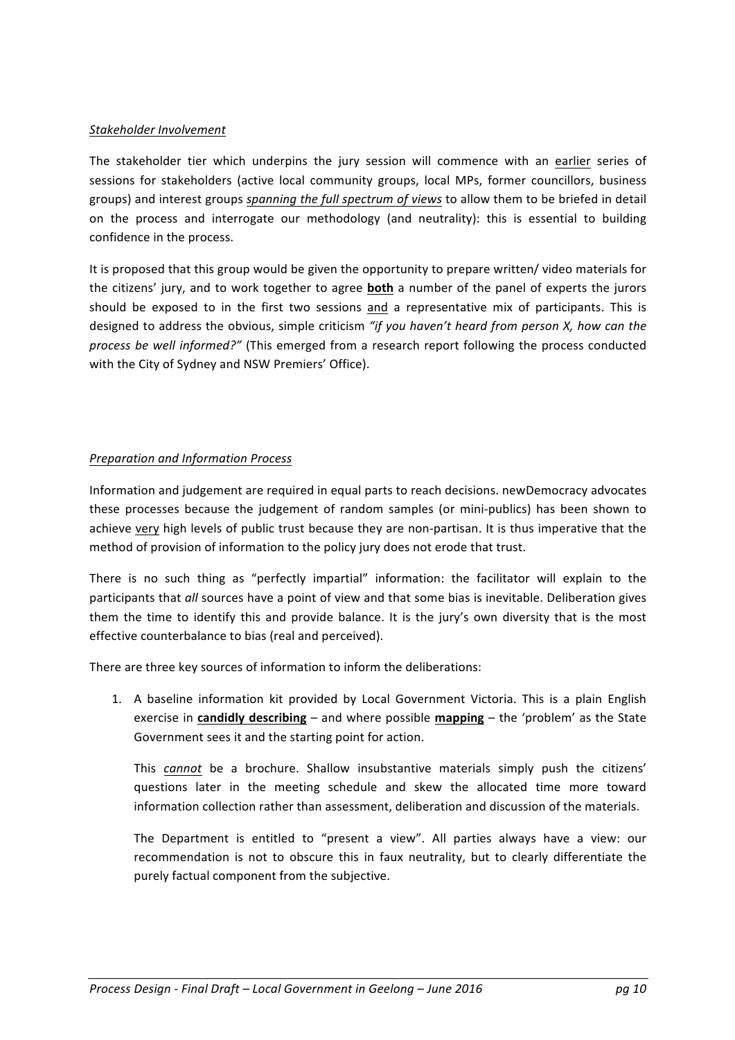#### *Stakeholder Involvement*

The stakeholder tier which underpins the jury session will commence with an earlier series of sessions for stakeholders (active local community groups, local MPs, former councillors, business groups) and interest groups *spanning the full spectrum of views* to allow them to be briefed in detail on the process and interrogate our methodology (and neutrality): this is essential to building confidence in the process.

It is proposed that this group would be given the opportunity to prepare written/ video materials for the citizens' jury, and to work together to agree **both** a number of the panel of experts the jurors should be exposed to in the first two sessions and a representative mix of participants. This is designed to address the obvious, simple criticism "if you haven't heard from person X, how can the *process be well informed?"* (This emerged from a research report following the process conducted with the City of Sydney and NSW Premiers' Office).

# *Preparation and Information Process*

Information and judgement are required in equal parts to reach decisions. newDemocracy advocates these processes because the judgement of random samples (or mini-publics) has been shown to achieve very high levels of public trust because they are non-partisan. It is thus imperative that the method of provision of information to the policy jury does not erode that trust.

There is no such thing as "perfectly impartial" information: the facilitator will explain to the participants that *all* sources have a point of view and that some bias is inevitable. Deliberation gives them the time to identify this and provide balance. It is the jury's own diversity that is the most effective counterbalance to bias (real and perceived).

There are three key sources of information to inform the deliberations:

1. A baseline information kit provided by Local Government Victoria. This is a plain English exercise in **candidly describing** – and where possible **mapping** – the 'problem' as the State Government sees it and the starting point for action.

This *cannot* be a brochure. Shallow insubstantive materials simply push the citizens' questions later in the meeting schedule and skew the allocated time more toward information collection rather than assessment, deliberation and discussion of the materials.

The Department is entitled to "present a view". All parties always have a view: our recommendation is not to obscure this in faux neutrality, but to clearly differentiate the purely factual component from the subjective.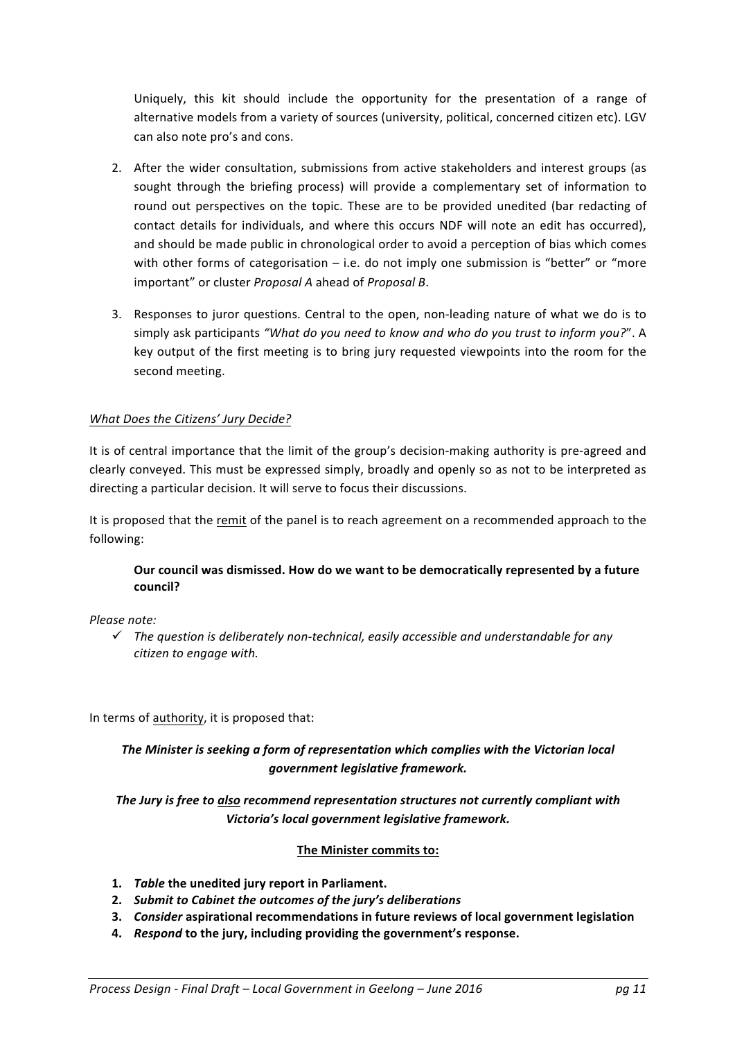Uniquely, this kit should include the opportunity for the presentation of a range of alternative models from a variety of sources (university, political, concerned citizen etc). LGV can also note pro's and cons.

- 2. After the wider consultation, submissions from active stakeholders and interest groups (as sought through the briefing process) will provide a complementary set of information to round out perspectives on the topic. These are to be provided unedited (bar redacting of contact details for individuals, and where this occurs NDF will note an edit has occurred), and should be made public in chronological order to avoid a perception of bias which comes with other forms of categorisation  $-$  i.e. do not imply one submission is "better" or "more important" or cluster *Proposal A* ahead of *Proposal B*.
- 3. Responses to juror questions. Central to the open, non-leading nature of what we do is to simply ask participants "What do you need to know and who do you trust to inform you?". A key output of the first meeting is to bring jury requested viewpoints into the room for the second meeting.

# *What Does the Citizens' Jury Decide?*

It is of central importance that the limit of the group's decision-making authority is pre-agreed and clearly conveyed. This must be expressed simply, broadly and openly so as not to be interpreted as directing a particular decision. It will serve to focus their discussions.

It is proposed that the remit of the panel is to reach agreement on a recommended approach to the following:

# **Our council was dismissed. How do we want to be democratically represented by a future council?**

# *Please note:*

 $\checkmark$  The question is deliberately non-technical, easily accessible and understandable for any *citizen to engage with.*

In terms of authority, it is proposed that:

# The Minister is seeking a form of representation which complies with the Victorian local *government legislative framework.*

The Jury is free to also recommend representation structures not currently compliant with Victoria's local government legislative framework.

#### **The Minister commits to:**

- **1.** *Table* the unedited jury report in Parliament.
- **2.** Submit to Cabinet the outcomes of the jury's deliberations
- **3.** *Consider* aspirational recommendations in future reviews of local government legislation
- **4.** *Respond* to the jury, including providing the government's response.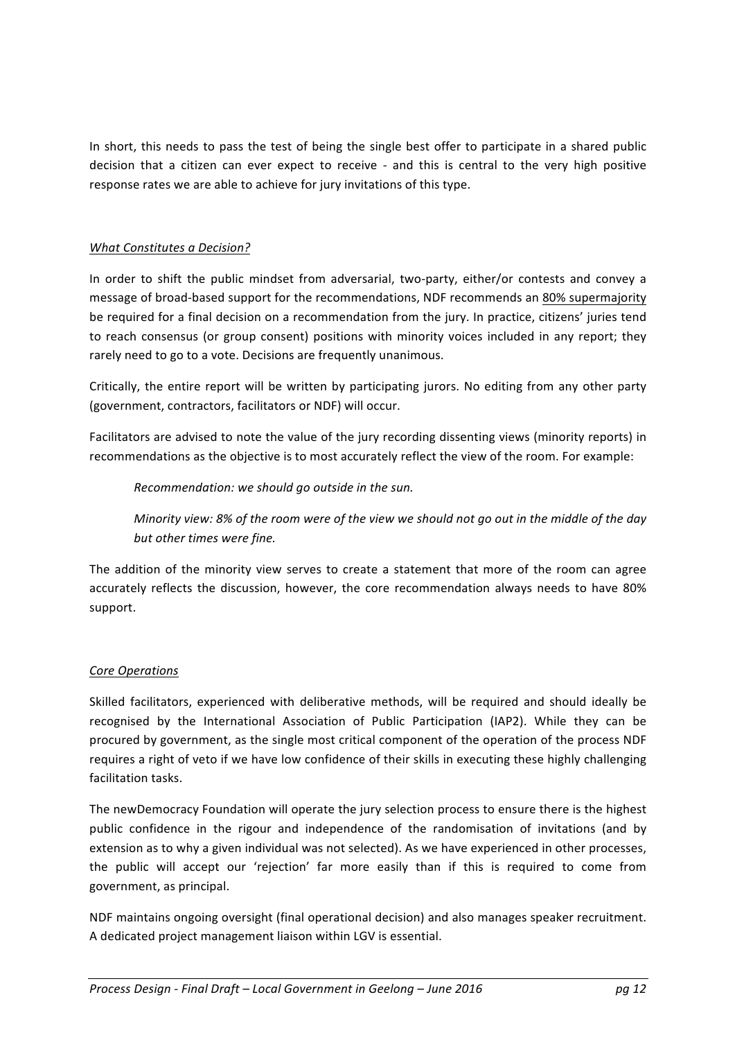In short, this needs to pass the test of being the single best offer to participate in a shared public decision that a citizen can ever expect to receive - and this is central to the very high positive response rates we are able to achieve for jury invitations of this type.

# *What Constitutes a Decision?*

In order to shift the public mindset from adversarial, two-party, either/or contests and convey a message of broad-based support for the recommendations, NDF recommends an 80% supermajority be required for a final decision on a recommendation from the jury. In practice, citizens' juries tend to reach consensus (or group consent) positions with minority voices included in any report; they rarely need to go to a vote. Decisions are frequently unanimous.

Critically, the entire report will be written by participating jurors. No editing from any other party (government, contractors, facilitators or NDF) will occur.

Facilitators are advised to note the value of the jury recording dissenting views (minority reports) in recommendations as the objective is to most accurately reflect the view of the room. For example:

*Recommendation:* we should go outside in the sun.

*Minority view:* 8% of the room were of the view we should not go out in the middle of the day *but other times were fine.*

The addition of the minority view serves to create a statement that more of the room can agree accurately reflects the discussion, however, the core recommendation always needs to have 80% support.

# *Core Operations*

Skilled facilitators, experienced with deliberative methods, will be required and should ideally be recognised by the International Association of Public Participation (IAP2). While they can be procured by government, as the single most critical component of the operation of the process NDF requires a right of veto if we have low confidence of their skills in executing these highly challenging facilitation tasks.

The newDemocracy Foundation will operate the jury selection process to ensure there is the highest public confidence in the rigour and independence of the randomisation of invitations (and by extension as to why a given individual was not selected). As we have experienced in other processes, the public will accept our 'rejection' far more easily than if this is required to come from government, as principal.

NDF maintains ongoing oversight (final operational decision) and also manages speaker recruitment. A dedicated project management liaison within LGV is essential.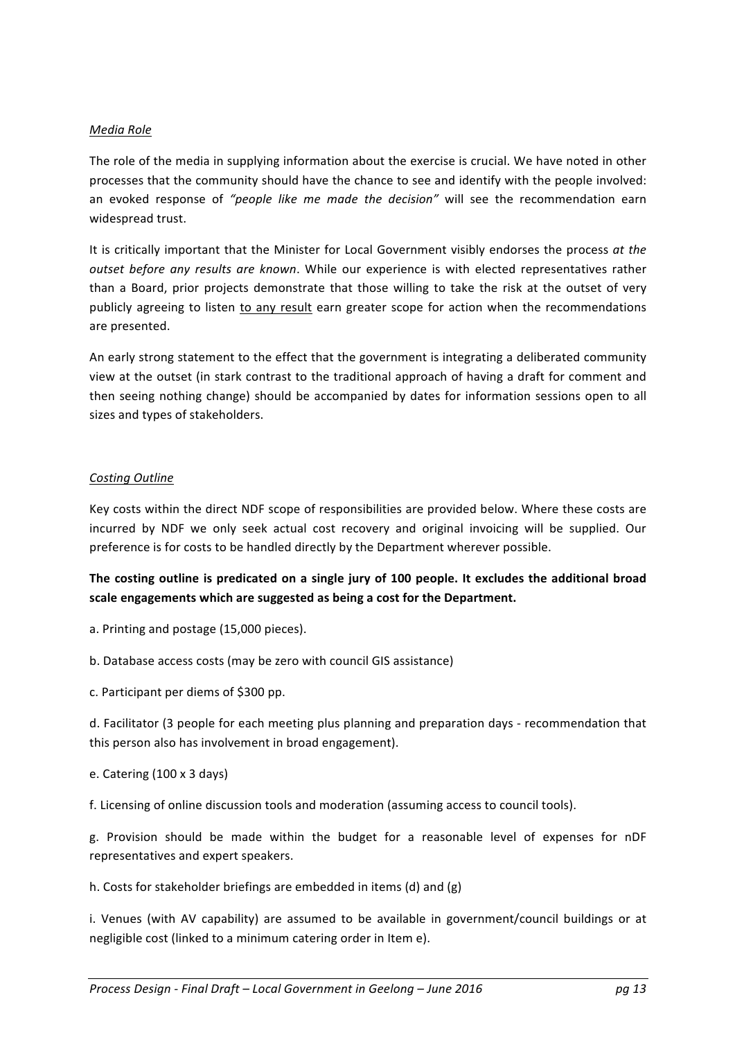### *Media Role*

The role of the media in supplying information about the exercise is crucial. We have noted in other processes that the community should have the chance to see and identify with the people involved: an evoked response of "people like me made the decision" will see the recommendation earn widespread trust.

It is critically important that the Minister for Local Government visibly endorses the process at the outset before any results are known. While our experience is with elected representatives rather than a Board, prior projects demonstrate that those willing to take the risk at the outset of very publicly agreeing to listen to any result earn greater scope for action when the recommendations are presented.

An early strong statement to the effect that the government is integrating a deliberated community view at the outset (in stark contrast to the traditional approach of having a draft for comment and then seeing nothing change) should be accompanied by dates for information sessions open to all sizes and types of stakeholders.

### *Costing Outline*

Key costs within the direct NDF scope of responsibilities are provided below. Where these costs are incurred by NDF we only seek actual cost recovery and original invoicing will be supplied. Our preference is for costs to be handled directly by the Department wherever possible.

The costing outline is predicated on a single jury of 100 people. It excludes the additional broad scale engagements which are suggested as being a cost for the Department.

- a. Printing and postage (15,000 pieces).
- b. Database access costs (may be zero with council GIS assistance)
- c. Participant per diems of \$300 pp.

d. Facilitator (3 people for each meeting plus planning and preparation days - recommendation that this person also has involvement in broad engagement).

- e. Catering (100 x 3 days)
- f. Licensing of online discussion tools and moderation (assuming access to council tools).

g. Provision should be made within the budget for a reasonable level of expenses for nDF representatives and expert speakers.

h. Costs for stakeholder briefings are embedded in items  $(d)$  and  $(g)$ 

i. Venues (with AV capability) are assumed to be available in government/council buildings or at negligible cost (linked to a minimum catering order in Item e).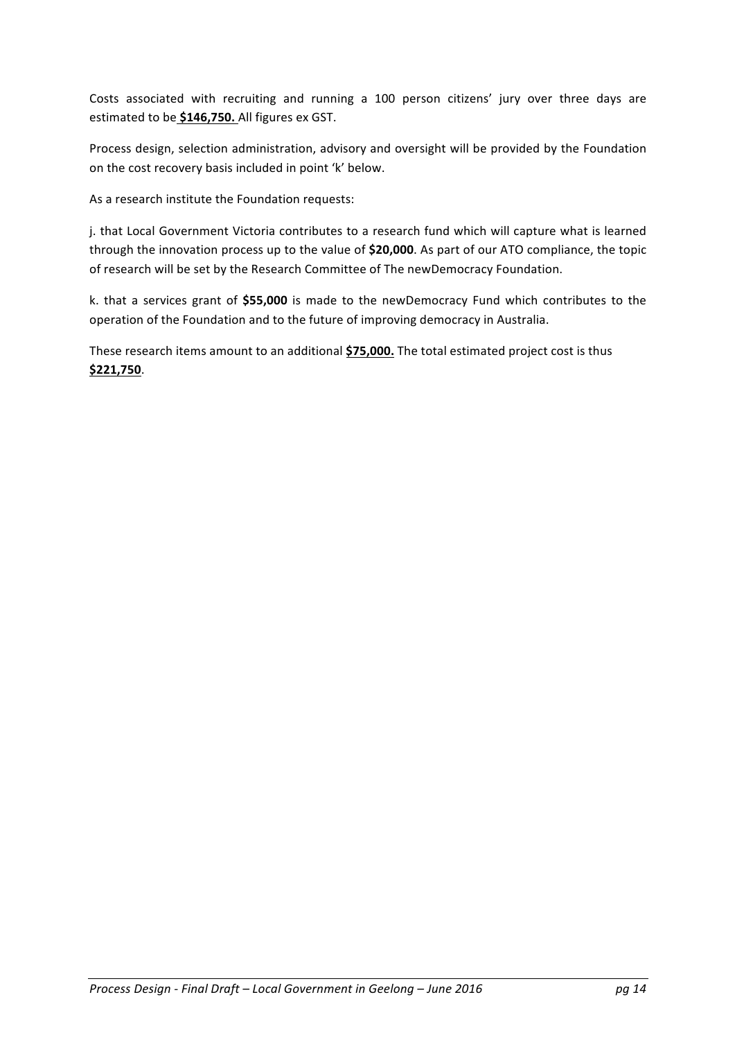Costs associated with recruiting and running a 100 person citizens' jury over three days are estimated to be \$146,750. All figures ex GST.

Process design, selection administration, advisory and oversight will be provided by the Foundation on the cost recovery basis included in point 'k' below.

As a research institute the Foundation requests:

j. that Local Government Victoria contributes to a research fund which will capture what is learned through the innovation process up to the value of \$20,000. As part of our ATO compliance, the topic of research will be set by the Research Committee of The newDemocracy Foundation.

k. that a services grant of \$55,000 is made to the newDemocracy Fund which contributes to the operation of the Foundation and to the future of improving democracy in Australia.

These research items amount to an additional  $$75,000$ . The total estimated project cost is thus **\$221,750**.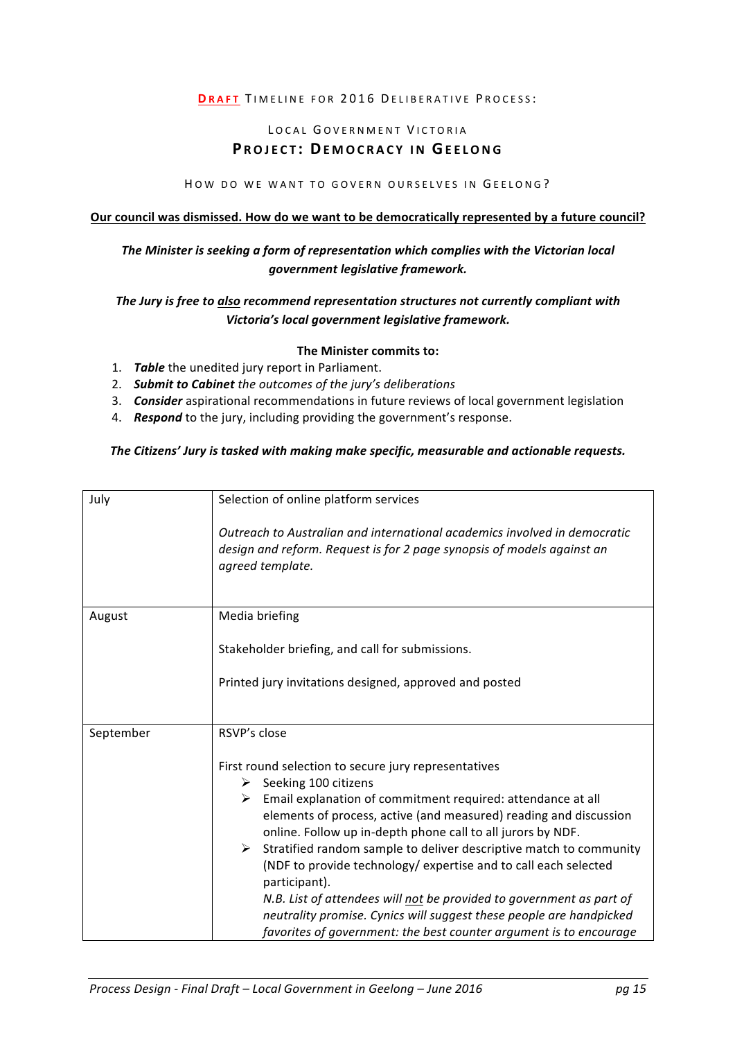#### **DRAFT** TIMELINE FOR 2016 DELIBERATIVE PROCESS:

# LOCAL GOVERNMENT VICTORIA **P ROJECT : DEMOCRACY IN GEELONG**

#### HOW DO WE WANT TO GOVERN OURSELVES IN GEELONG?

#### **Our council was dismissed. How do we want to be democratically represented by a future council?**

# The Minister is seeking a form of representation which complies with the Victorian local *government legislative framework.*

The Jury is free to also recommend representation structures not currently compliant with *Victoria's local aovernment leaislative framework.* 

#### **The Minister commits to:**

- 1. **Table** the unedited jury report in Parliament.
- 2. **Submit to Cabinet** the outcomes of the jury's deliberations
- 3. **Consider** aspirational recommendations in future reviews of local government legislation
- 4. **Respond** to the jury, including providing the government's response.

### *The Citizens' Jury is tasked with making make specific, measurable and actionable requests.*

| July      | Selection of online platform services                                                                                                                                   |
|-----------|-------------------------------------------------------------------------------------------------------------------------------------------------------------------------|
|           | Outreach to Australian and international academics involved in democratic<br>design and reform. Request is for 2 page synopsis of models against an<br>agreed template. |
| August    | Media briefing                                                                                                                                                          |
|           | Stakeholder briefing, and call for submissions.                                                                                                                         |
|           | Printed jury invitations designed, approved and posted                                                                                                                  |
|           |                                                                                                                                                                         |
| September | RSVP's close                                                                                                                                                            |
|           | First round selection to secure jury representatives                                                                                                                    |
|           | Seeking 100 citizens<br>➤                                                                                                                                               |
|           | Email explanation of commitment required: attendance at all<br>≻                                                                                                        |
|           | elements of process, active (and measured) reading and discussion                                                                                                       |
|           | online. Follow up in-depth phone call to all jurors by NDF.                                                                                                             |
|           | ➤<br>Stratified random sample to deliver descriptive match to community                                                                                                 |
|           | (NDF to provide technology/ expertise and to call each selected                                                                                                         |
|           | participant).                                                                                                                                                           |
|           | N.B. List of attendees will not be provided to government as part of                                                                                                    |
|           | neutrality promise. Cynics will suggest these people are handpicked                                                                                                     |
|           | favorites of government: the best counter argument is to encourage                                                                                                      |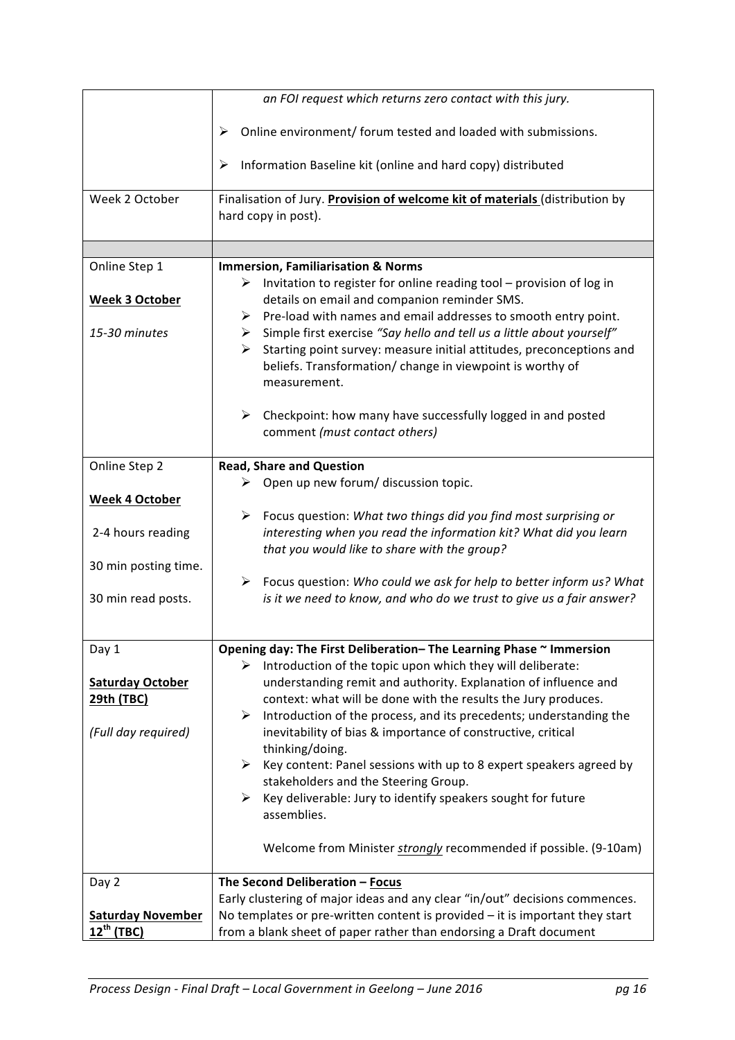|                          | an FOI request which returns zero contact with this jury.                                                                                                                 |  |
|--------------------------|---------------------------------------------------------------------------------------------------------------------------------------------------------------------------|--|
|                          | Online environment/ forum tested and loaded with submissions.<br>➤                                                                                                        |  |
|                          | ➤<br>Information Baseline kit (online and hard copy) distributed                                                                                                          |  |
| Week 2 October           | Finalisation of Jury. Provision of welcome kit of materials (distribution by                                                                                              |  |
|                          | hard copy in post).                                                                                                                                                       |  |
|                          |                                                                                                                                                                           |  |
| Online Step 1            | <b>Immersion, Familiarisation &amp; Norms</b>                                                                                                                             |  |
| <b>Week 3 October</b>    | Invitation to register for online reading tool - provision of log in<br>➤<br>details on email and companion reminder SMS.                                                 |  |
| 15-30 minutes            | $\triangleright$ Pre-load with names and email addresses to smooth entry point.<br>$\triangleright$ Simple first exercise "Say hello and tell us a little about yourself" |  |
|                          | Starting point survey: measure initial attitudes, preconceptions and<br>≻                                                                                                 |  |
|                          | beliefs. Transformation/change in viewpoint is worthy of<br>measurement.                                                                                                  |  |
|                          | $\triangleright$ Checkpoint: how many have successfully logged in and posted<br>comment (must contact others)                                                             |  |
| Online Step 2            | <b>Read, Share and Question</b>                                                                                                                                           |  |
|                          | $\triangleright$ Open up new forum/ discussion topic.                                                                                                                     |  |
| <b>Week 4 October</b>    |                                                                                                                                                                           |  |
| 2-4 hours reading        | $\triangleright$ Focus question: What two things did you find most surprising or<br>interesting when you read the information kit? What did you learn                     |  |
|                          | that you would like to share with the group?                                                                                                                              |  |
| 30 min posting time.     |                                                                                                                                                                           |  |
|                          | $\triangleright$ Focus question: Who could we ask for help to better inform us? What                                                                                      |  |
| 30 min read posts.       | is it we need to know, and who do we trust to give us a fair answer?                                                                                                      |  |
|                          |                                                                                                                                                                           |  |
| Day 1                    | Opening day: The First Deliberation-The Learning Phase ~ Immersion<br>Introduction of the topic upon which they will deliberate:<br>➤                                     |  |
| <b>Saturday October</b>  | understanding remit and authority. Explanation of influence and                                                                                                           |  |
| 29th (TBC)               | context: what will be done with the results the Jury produces.                                                                                                            |  |
|                          | Introduction of the process, and its precedents; understanding the<br>➤                                                                                                   |  |
| (Full day required)      | inevitability of bias & importance of constructive, critical                                                                                                              |  |
|                          | thinking/doing.<br>≻<br>Key content: Panel sessions with up to 8 expert speakers agreed by                                                                                |  |
|                          | stakeholders and the Steering Group.                                                                                                                                      |  |
|                          | Key deliverable: Jury to identify speakers sought for future<br>➤                                                                                                         |  |
|                          | assemblies.                                                                                                                                                               |  |
|                          | Welcome from Minister strongly recommended if possible. (9-10am)                                                                                                          |  |
| Day 2                    | The Second Deliberation - Focus                                                                                                                                           |  |
|                          | Early clustering of major ideas and any clear "in/out" decisions commences.                                                                                               |  |
| <b>Saturday November</b> | No templates or pre-written content is provided - it is important they start                                                                                              |  |
| $12^{th}$ (TBC)          | from a blank sheet of paper rather than endorsing a Draft document                                                                                                        |  |